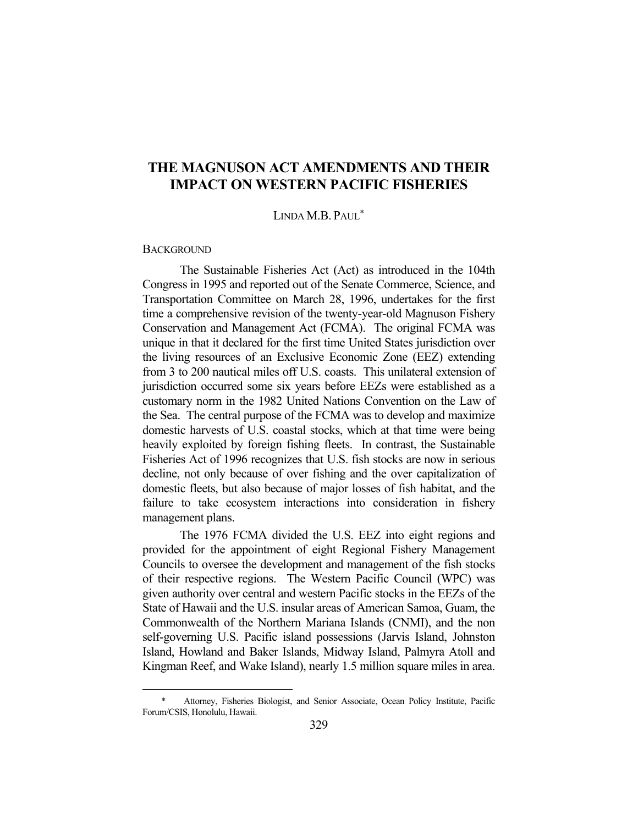# **THE MAGNUSON ACT AMENDMENTS AND THEIR IMPACT ON WESTERN PACIFIC FISHERIES**

LINDA M.B. PAUL\*

#### **BACKGROUND**

<u>.</u>

 The Sustainable Fisheries Act (Act) as introduced in the 104th Congress in 1995 and reported out of the Senate Commerce, Science, and Transportation Committee on March 28, 1996, undertakes for the first time a comprehensive revision of the twenty-year-old Magnuson Fishery Conservation and Management Act (FCMA). The original FCMA was unique in that it declared for the first time United States jurisdiction over the living resources of an Exclusive Economic Zone (EEZ) extending from 3 to 200 nautical miles off U.S. coasts. This unilateral extension of jurisdiction occurred some six years before EEZs were established as a customary norm in the 1982 United Nations Convention on the Law of the Sea. The central purpose of the FCMA was to develop and maximize domestic harvests of U.S. coastal stocks, which at that time were being heavily exploited by foreign fishing fleets. In contrast, the Sustainable Fisheries Act of 1996 recognizes that U.S. fish stocks are now in serious decline, not only because of over fishing and the over capitalization of domestic fleets, but also because of major losses of fish habitat, and the failure to take ecosystem interactions into consideration in fishery management plans.

 The 1976 FCMA divided the U.S. EEZ into eight regions and provided for the appointment of eight Regional Fishery Management Councils to oversee the development and management of the fish stocks of their respective regions. The Western Pacific Council (WPC) was given authority over central and western Pacific stocks in the EEZs of the State of Hawaii and the U.S. insular areas of American Samoa, Guam, the Commonwealth of the Northern Mariana Islands (CNMI), and the non self-governing U.S. Pacific island possessions (Jarvis Island, Johnston Island, Howland and Baker Islands, Midway Island, Palmyra Atoll and Kingman Reef, and Wake Island), nearly 1.5 million square miles in area.

Attorney, Fisheries Biologist, and Senior Associate, Ocean Policy Institute, Pacific Forum/CSIS, Honolulu, Hawaii.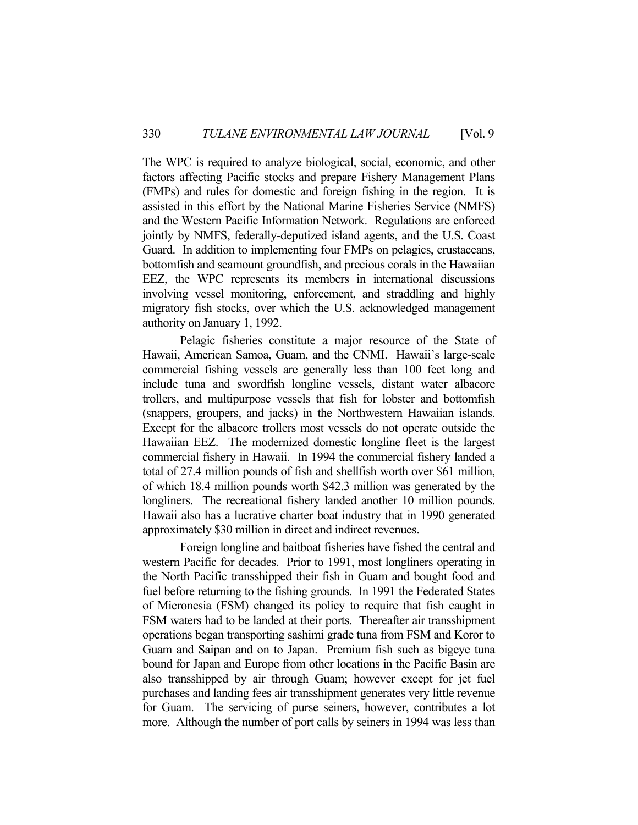The WPC is required to analyze biological, social, economic, and other factors affecting Pacific stocks and prepare Fishery Management Plans (FMPs) and rules for domestic and foreign fishing in the region. It is assisted in this effort by the National Marine Fisheries Service (NMFS) and the Western Pacific Information Network. Regulations are enforced jointly by NMFS, federally-deputized island agents, and the U.S. Coast Guard. In addition to implementing four FMPs on pelagics, crustaceans, bottomfish and seamount groundfish, and precious corals in the Hawaiian EEZ, the WPC represents its members in international discussions involving vessel monitoring, enforcement, and straddling and highly migratory fish stocks, over which the U.S. acknowledged management authority on January 1, 1992.

 Pelagic fisheries constitute a major resource of the State of Hawaii, American Samoa, Guam, and the CNMI. Hawaii's large-scale commercial fishing vessels are generally less than 100 feet long and include tuna and swordfish longline vessels, distant water albacore trollers, and multipurpose vessels that fish for lobster and bottomfish (snappers, groupers, and jacks) in the Northwestern Hawaiian islands. Except for the albacore trollers most vessels do not operate outside the Hawaiian EEZ. The modernized domestic longline fleet is the largest commercial fishery in Hawaii. In 1994 the commercial fishery landed a total of 27.4 million pounds of fish and shellfish worth over \$61 million, of which 18.4 million pounds worth \$42.3 million was generated by the longliners. The recreational fishery landed another 10 million pounds. Hawaii also has a lucrative charter boat industry that in 1990 generated approximately \$30 million in direct and indirect revenues.

 Foreign longline and baitboat fisheries have fished the central and western Pacific for decades. Prior to 1991, most longliners operating in the North Pacific transshipped their fish in Guam and bought food and fuel before returning to the fishing grounds. In 1991 the Federated States of Micronesia (FSM) changed its policy to require that fish caught in FSM waters had to be landed at their ports. Thereafter air transshipment operations began transporting sashimi grade tuna from FSM and Koror to Guam and Saipan and on to Japan. Premium fish such as bigeye tuna bound for Japan and Europe from other locations in the Pacific Basin are also transshipped by air through Guam; however except for jet fuel purchases and landing fees air transshipment generates very little revenue for Guam. The servicing of purse seiners, however, contributes a lot more. Although the number of port calls by seiners in 1994 was less than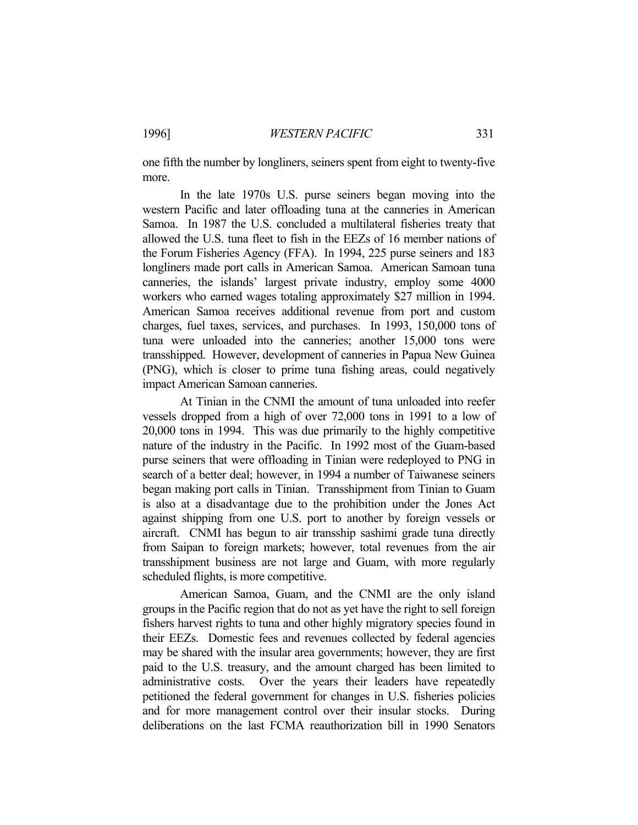one fifth the number by longliners, seiners spent from eight to twenty-five more.

 In the late 1970s U.S. purse seiners began moving into the western Pacific and later offloading tuna at the canneries in American Samoa. In 1987 the U.S. concluded a multilateral fisheries treaty that allowed the U.S. tuna fleet to fish in the EEZs of 16 member nations of the Forum Fisheries Agency (FFA). In 1994, 225 purse seiners and 183 longliners made port calls in American Samoa. American Samoan tuna canneries, the islands' largest private industry, employ some 4000 workers who earned wages totaling approximately \$27 million in 1994. American Samoa receives additional revenue from port and custom charges, fuel taxes, services, and purchases. In 1993, 150,000 tons of tuna were unloaded into the canneries; another 15,000 tons were transshipped. However, development of canneries in Papua New Guinea (PNG), which is closer to prime tuna fishing areas, could negatively impact American Samoan canneries.

 At Tinian in the CNMI the amount of tuna unloaded into reefer vessels dropped from a high of over 72,000 tons in 1991 to a low of 20,000 tons in 1994. This was due primarily to the highly competitive nature of the industry in the Pacific. In 1992 most of the Guam-based purse seiners that were offloading in Tinian were redeployed to PNG in search of a better deal; however, in 1994 a number of Taiwanese seiners began making port calls in Tinian. Transshipment from Tinian to Guam is also at a disadvantage due to the prohibition under the Jones Act against shipping from one U.S. port to another by foreign vessels or aircraft. CNMI has begun to air transship sashimi grade tuna directly from Saipan to foreign markets; however, total revenues from the air transshipment business are not large and Guam, with more regularly scheduled flights, is more competitive.

 American Samoa, Guam, and the CNMI are the only island groups in the Pacific region that do not as yet have the right to sell foreign fishers harvest rights to tuna and other highly migratory species found in their EEZs. Domestic fees and revenues collected by federal agencies may be shared with the insular area governments; however, they are first paid to the U.S. treasury, and the amount charged has been limited to administrative costs. Over the years their leaders have repeatedly petitioned the federal government for changes in U.S. fisheries policies and for more management control over their insular stocks. During deliberations on the last FCMA reauthorization bill in 1990 Senators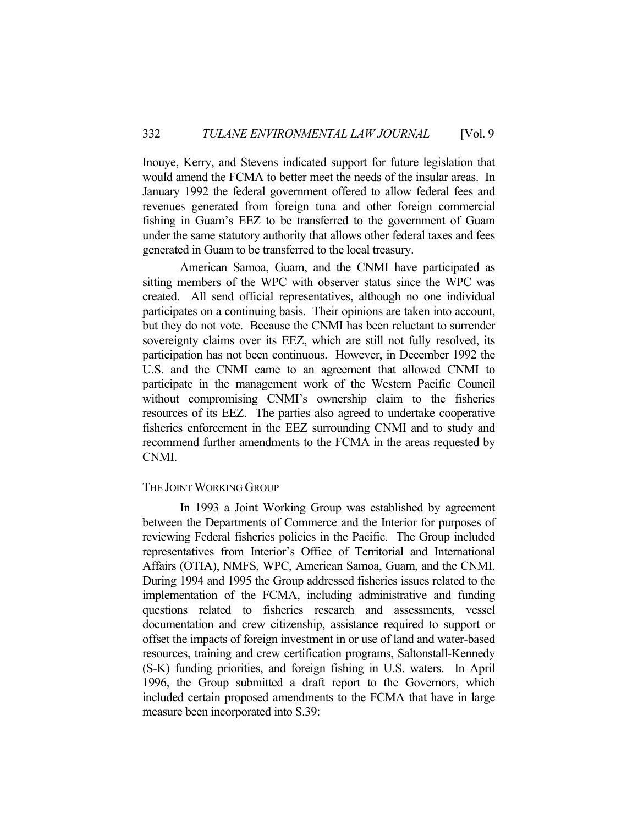Inouye, Kerry, and Stevens indicated support for future legislation that would amend the FCMA to better meet the needs of the insular areas. In January 1992 the federal government offered to allow federal fees and revenues generated from foreign tuna and other foreign commercial fishing in Guam's EEZ to be transferred to the government of Guam under the same statutory authority that allows other federal taxes and fees generated in Guam to be transferred to the local treasury.

 American Samoa, Guam, and the CNMI have participated as sitting members of the WPC with observer status since the WPC was created. All send official representatives, although no one individual participates on a continuing basis. Their opinions are taken into account, but they do not vote. Because the CNMI has been reluctant to surrender sovereignty claims over its EEZ, which are still not fully resolved, its participation has not been continuous. However, in December 1992 the U.S. and the CNMI came to an agreement that allowed CNMI to participate in the management work of the Western Pacific Council without compromising CNMI's ownership claim to the fisheries resources of its EEZ. The parties also agreed to undertake cooperative fisheries enforcement in the EEZ surrounding CNMI and to study and recommend further amendments to the FCMA in the areas requested by CNMI.

## THE JOINT WORKING GROUP

 In 1993 a Joint Working Group was established by agreement between the Departments of Commerce and the Interior for purposes of reviewing Federal fisheries policies in the Pacific. The Group included representatives from Interior's Office of Territorial and International Affairs (OTIA), NMFS, WPC, American Samoa, Guam, and the CNMI. During 1994 and 1995 the Group addressed fisheries issues related to the implementation of the FCMA, including administrative and funding questions related to fisheries research and assessments, vessel documentation and crew citizenship, assistance required to support or offset the impacts of foreign investment in or use of land and water-based resources, training and crew certification programs, Saltonstall-Kennedy (S-K) funding priorities, and foreign fishing in U.S. waters. In April 1996, the Group submitted a draft report to the Governors, which included certain proposed amendments to the FCMA that have in large measure been incorporated into S.39: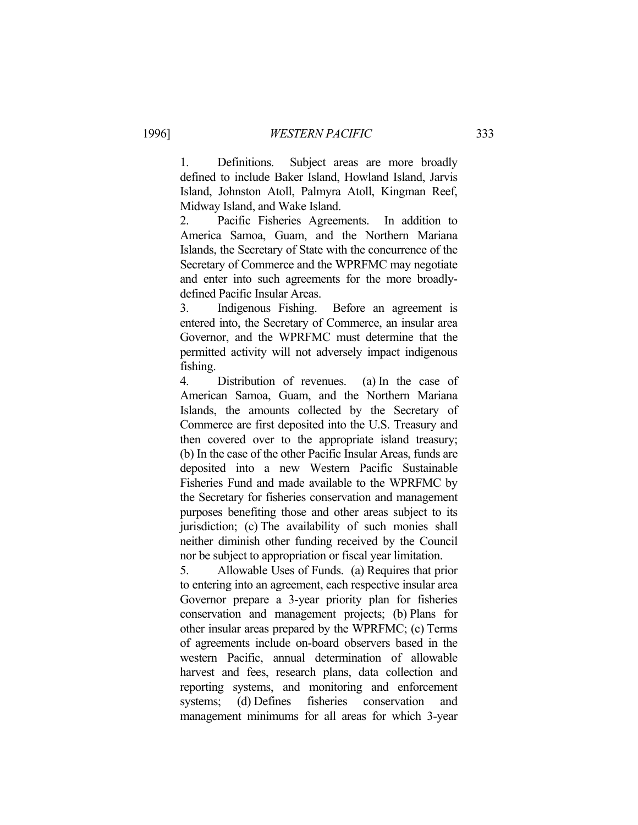1. Definitions. Subject areas are more broadly defined to include Baker Island, Howland Island, Jarvis Island, Johnston Atoll, Palmyra Atoll, Kingman Reef, Midway Island, and Wake Island.

2. Pacific Fisheries Agreements. In addition to America Samoa, Guam, and the Northern Mariana Islands, the Secretary of State with the concurrence of the Secretary of Commerce and the WPRFMC may negotiate and enter into such agreements for the more broadlydefined Pacific Insular Areas.

3. Indigenous Fishing. Before an agreement is entered into, the Secretary of Commerce, an insular area Governor, and the WPRFMC must determine that the permitted activity will not adversely impact indigenous fishing.

4. Distribution of revenues. (a) In the case of American Samoa, Guam, and the Northern Mariana Islands, the amounts collected by the Secretary of Commerce are first deposited into the U.S. Treasury and then covered over to the appropriate island treasury; (b) In the case of the other Pacific Insular Areas, funds are deposited into a new Western Pacific Sustainable Fisheries Fund and made available to the WPRFMC by the Secretary for fisheries conservation and management purposes benefiting those and other areas subject to its jurisdiction; (c) The availability of such monies shall neither diminish other funding received by the Council nor be subject to appropriation or fiscal year limitation.

5. Allowable Uses of Funds. (a) Requires that prior to entering into an agreement, each respective insular area Governor prepare a 3-year priority plan for fisheries conservation and management projects; (b) Plans for other insular areas prepared by the WPRFMC; (c) Terms of agreements include on-board observers based in the western Pacific, annual determination of allowable harvest and fees, research plans, data collection and reporting systems, and monitoring and enforcement systems; (d) Defines fisheries conservation and management minimums for all areas for which 3-year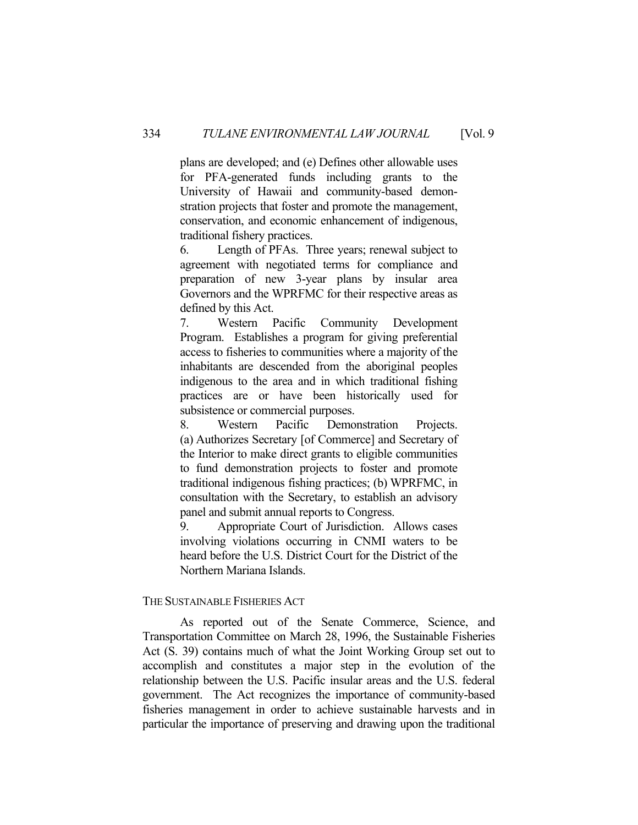plans are developed; and (e) Defines other allowable uses for PFA-generated funds including grants to the University of Hawaii and community-based demonstration projects that foster and promote the management, conservation, and economic enhancement of indigenous, traditional fishery practices.

6. Length of PFAs. Three years; renewal subject to agreement with negotiated terms for compliance and preparation of new 3-year plans by insular area Governors and the WPRFMC for their respective areas as defined by this Act.

7. Western Pacific Community Development Program. Establishes a program for giving preferential access to fisheries to communities where a majority of the inhabitants are descended from the aboriginal peoples indigenous to the area and in which traditional fishing practices are or have been historically used for subsistence or commercial purposes.

8. Western Pacific Demonstration Projects. (a) Authorizes Secretary [of Commerce] and Secretary of the Interior to make direct grants to eligible communities to fund demonstration projects to foster and promote traditional indigenous fishing practices; (b) WPRFMC, in consultation with the Secretary, to establish an advisory panel and submit annual reports to Congress.

9. Appropriate Court of Jurisdiction. Allows cases involving violations occurring in CNMI waters to be heard before the U.S. District Court for the District of the Northern Mariana Islands.

## THE SUSTAINABLE FISHERIES ACT

 As reported out of the Senate Commerce, Science, and Transportation Committee on March 28, 1996, the Sustainable Fisheries Act (S. 39) contains much of what the Joint Working Group set out to accomplish and constitutes a major step in the evolution of the relationship between the U.S. Pacific insular areas and the U.S. federal government. The Act recognizes the importance of community-based fisheries management in order to achieve sustainable harvests and in particular the importance of preserving and drawing upon the traditional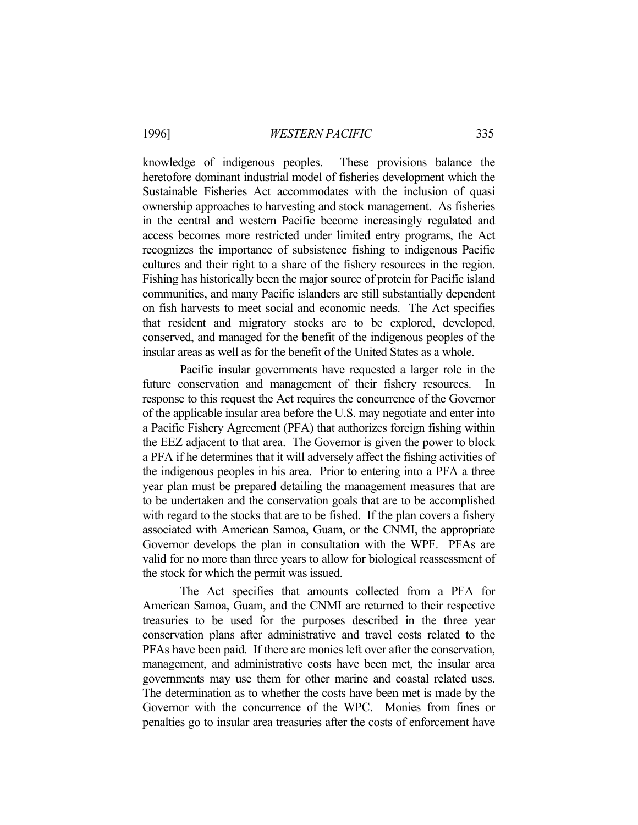1996] *WESTERN PACIFIC* 335

knowledge of indigenous peoples. These provisions balance the heretofore dominant industrial model of fisheries development which the Sustainable Fisheries Act accommodates with the inclusion of quasi ownership approaches to harvesting and stock management. As fisheries in the central and western Pacific become increasingly regulated and access becomes more restricted under limited entry programs, the Act recognizes the importance of subsistence fishing to indigenous Pacific cultures and their right to a share of the fishery resources in the region. Fishing has historically been the major source of protein for Pacific island communities, and many Pacific islanders are still substantially dependent on fish harvests to meet social and economic needs. The Act specifies that resident and migratory stocks are to be explored, developed, conserved, and managed for the benefit of the indigenous peoples of the insular areas as well as for the benefit of the United States as a whole.

 Pacific insular governments have requested a larger role in the future conservation and management of their fishery resources. In response to this request the Act requires the concurrence of the Governor of the applicable insular area before the U.S. may negotiate and enter into a Pacific Fishery Agreement (PFA) that authorizes foreign fishing within the EEZ adjacent to that area. The Governor is given the power to block a PFA if he determines that it will adversely affect the fishing activities of the indigenous peoples in his area. Prior to entering into a PFA a three year plan must be prepared detailing the management measures that are to be undertaken and the conservation goals that are to be accomplished with regard to the stocks that are to be fished. If the plan covers a fishery associated with American Samoa, Guam, or the CNMI, the appropriate Governor develops the plan in consultation with the WPF. PFAs are valid for no more than three years to allow for biological reassessment of the stock for which the permit was issued.

 The Act specifies that amounts collected from a PFA for American Samoa, Guam, and the CNMI are returned to their respective treasuries to be used for the purposes described in the three year conservation plans after administrative and travel costs related to the PFAs have been paid. If there are monies left over after the conservation, management, and administrative costs have been met, the insular area governments may use them for other marine and coastal related uses. The determination as to whether the costs have been met is made by the Governor with the concurrence of the WPC. Monies from fines or penalties go to insular area treasuries after the costs of enforcement have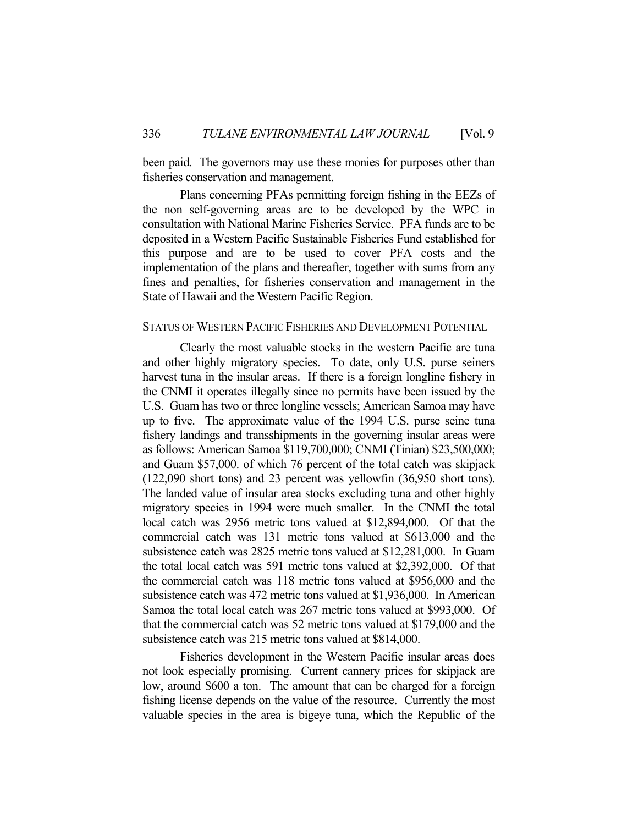been paid. The governors may use these monies for purposes other than fisheries conservation and management.

 Plans concerning PFAs permitting foreign fishing in the EEZs of the non self-governing areas are to be developed by the WPC in consultation with National Marine Fisheries Service. PFA funds are to be deposited in a Western Pacific Sustainable Fisheries Fund established for this purpose and are to be used to cover PFA costs and the implementation of the plans and thereafter, together with sums from any fines and penalties, for fisheries conservation and management in the State of Hawaii and the Western Pacific Region.

#### STATUS OF WESTERN PACIFIC FISHERIES AND DEVELOPMENT POTENTIAL

 Clearly the most valuable stocks in the western Pacific are tuna and other highly migratory species. To date, only U.S. purse seiners harvest tuna in the insular areas. If there is a foreign longline fishery in the CNMI it operates illegally since no permits have been issued by the U.S. Guam has two or three longline vessels; American Samoa may have up to five. The approximate value of the 1994 U.S. purse seine tuna fishery landings and transshipments in the governing insular areas were as follows: American Samoa \$119,700,000; CNMI (Tinian) \$23,500,000; and Guam \$57,000. of which 76 percent of the total catch was skipjack (122,090 short tons) and 23 percent was yellowfin (36,950 short tons). The landed value of insular area stocks excluding tuna and other highly migratory species in 1994 were much smaller. In the CNMI the total local catch was 2956 metric tons valued at \$12,894,000. Of that the commercial catch was 131 metric tons valued at \$613,000 and the subsistence catch was 2825 metric tons valued at \$12,281,000. In Guam the total local catch was 591 metric tons valued at \$2,392,000. Of that the commercial catch was 118 metric tons valued at \$956,000 and the subsistence catch was 472 metric tons valued at \$1,936,000. In American Samoa the total local catch was 267 metric tons valued at \$993,000. Of that the commercial catch was 52 metric tons valued at \$179,000 and the subsistence catch was 215 metric tons valued at \$814,000.

 Fisheries development in the Western Pacific insular areas does not look especially promising. Current cannery prices for skipjack are low, around \$600 a ton. The amount that can be charged for a foreign fishing license depends on the value of the resource. Currently the most valuable species in the area is bigeye tuna, which the Republic of the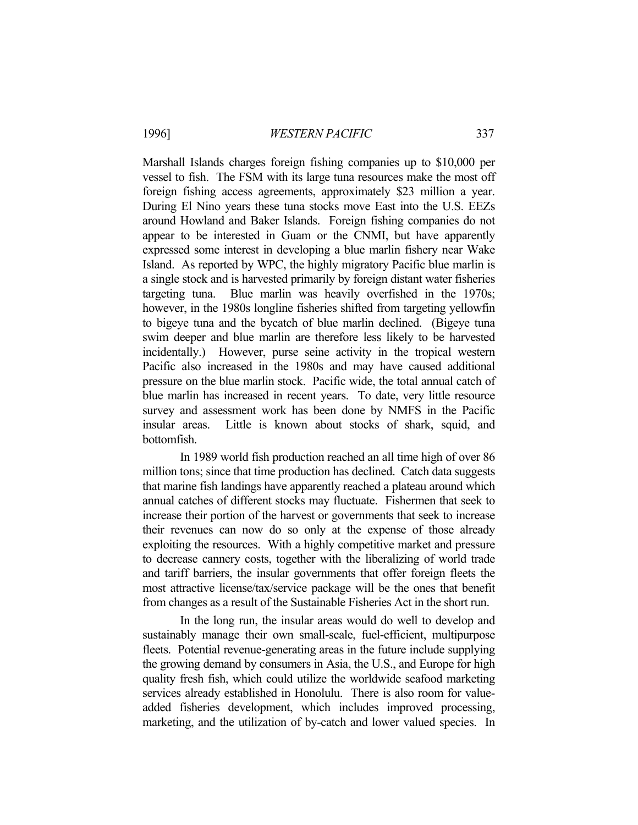Marshall Islands charges foreign fishing companies up to \$10,000 per vessel to fish. The FSM with its large tuna resources make the most off foreign fishing access agreements, approximately \$23 million a year. During El Nino years these tuna stocks move East into the U.S. EEZs around Howland and Baker Islands. Foreign fishing companies do not appear to be interested in Guam or the CNMI, but have apparently expressed some interest in developing a blue marlin fishery near Wake Island. As reported by WPC, the highly migratory Pacific blue marlin is a single stock and is harvested primarily by foreign distant water fisheries targeting tuna. Blue marlin was heavily overfished in the 1970s; however, in the 1980s longline fisheries shifted from targeting yellowfin to bigeye tuna and the bycatch of blue marlin declined. (Bigeye tuna swim deeper and blue marlin are therefore less likely to be harvested incidentally.) However, purse seine activity in the tropical western Pacific also increased in the 1980s and may have caused additional pressure on the blue marlin stock. Pacific wide, the total annual catch of blue marlin has increased in recent years. To date, very little resource survey and assessment work has been done by NMFS in the Pacific insular areas. Little is known about stocks of shark, squid, and bottomfish.

 In 1989 world fish production reached an all time high of over 86 million tons; since that time production has declined. Catch data suggests that marine fish landings have apparently reached a plateau around which annual catches of different stocks may fluctuate. Fishermen that seek to increase their portion of the harvest or governments that seek to increase their revenues can now do so only at the expense of those already exploiting the resources. With a highly competitive market and pressure to decrease cannery costs, together with the liberalizing of world trade and tariff barriers, the insular governments that offer foreign fleets the most attractive license/tax/service package will be the ones that benefit from changes as a result of the Sustainable Fisheries Act in the short run.

 In the long run, the insular areas would do well to develop and sustainably manage their own small-scale, fuel-efficient, multipurpose fleets. Potential revenue-generating areas in the future include supplying the growing demand by consumers in Asia, the U.S., and Europe for high quality fresh fish, which could utilize the worldwide seafood marketing services already established in Honolulu. There is also room for valueadded fisheries development, which includes improved processing, marketing, and the utilization of by-catch and lower valued species. In